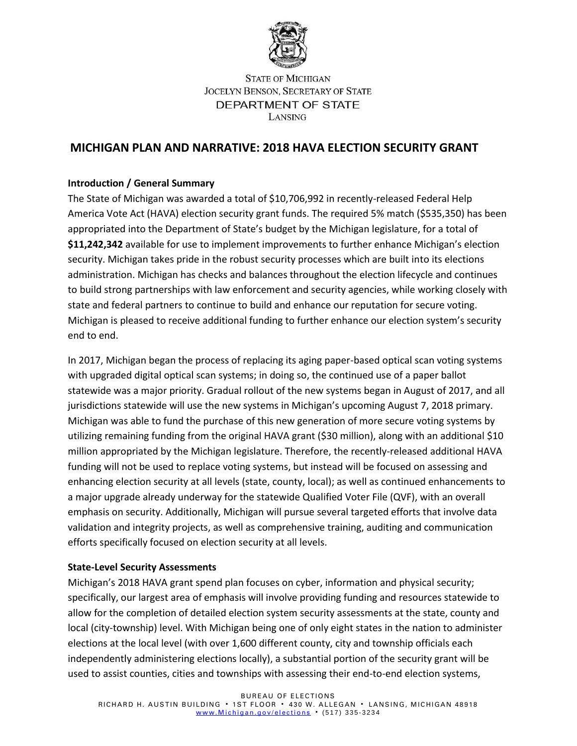

# **STATE OF MICHIGAN** JOCELYN BENSON, SECRETARY OF STATE DEPARTMENT OF STATE LANSING

# **MICHIGAN PLAN AND NARRATIVE: 2018 HAVA ELECTION SECURITY GRANT**

## **Introduction / General Summary**

The State of Michigan was awarded a total of \$10,706,992 in recently-released Federal Help America Vote Act (HAVA) election security grant funds. The required 5% match (\$535,350) has been appropriated into the Department of State's budget by the Michigan legislature, for a total of **\$11,242,342** available for use to implement improvements to further enhance Michigan's election security. Michigan takes pride in the robust security processes which are built into its elections administration. Michigan has checks and balances throughout the election lifecycle and continues to build strong partnerships with law enforcement and security agencies, while working closely with state and federal partners to continue to build and enhance our reputation for secure voting. Michigan is pleased to receive additional funding to further enhance our election system's security end to end.

In 2017, Michigan began the process of replacing its aging paper-based optical scan voting systems with upgraded digital optical scan systems; in doing so, the continued use of a paper ballot statewide was a major priority. Gradual rollout of the new systems began in August of 2017, and all jurisdictions statewide will use the new systems in Michigan's upcoming August 7, 2018 primary. Michigan was able to fund the purchase of this new generation of more secure voting systems by utilizing remaining funding from the original HAVA grant (\$30 million), along with an additional \$10 million appropriated by the Michigan legislature. Therefore, the recently-released additional HAVA funding will not be used to replace voting systems, but instead will be focused on assessing and enhancing election security at all levels (state, county, local); as well as continued enhancements to a major upgrade already underway for the statewide Qualified Voter File (QVF), with an overall emphasis on security. Additionally, Michigan will pursue several targeted efforts that involve data validation and integrity projects, as well as comprehensive training, auditing and communication efforts specifically focused on election security at all levels.

### **State-Level Security Assessments**

Michigan's 2018 HAVA grant spend plan focuses on cyber, information and physical security; specifically, our largest area of emphasis will involve providing funding and resources statewide to allow for the completion of detailed election system security assessments at the state, county and local (city-township) level. With Michigan being one of only eight states in the nation to administer elections at the local level (with over 1,600 different county, city and township officials each independently administering elections locally), a substantial portion of the security grant will be used to assist counties, cities and townships with assessing their end-to-end election systems,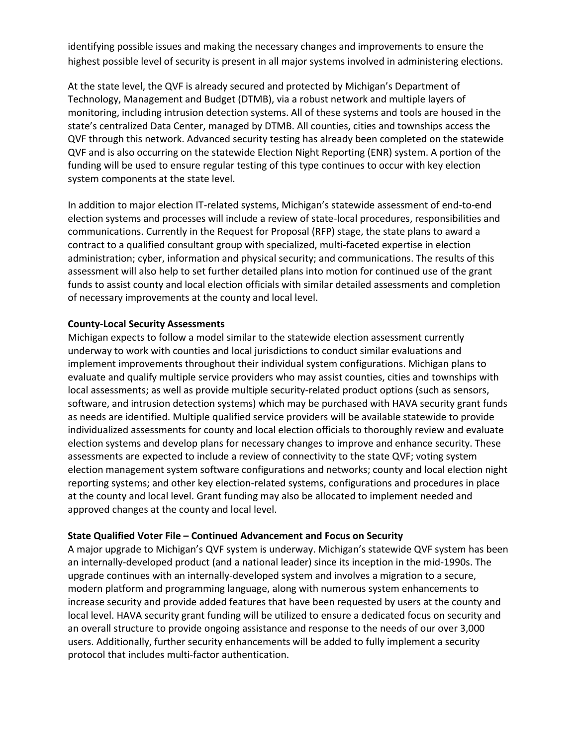identifying possible issues and making the necessary changes and improvements to ensure the highest possible level of security is present in all major systems involved in administering elections.

At the state level, the QVF is already secured and protected by Michigan's Department of Technology, Management and Budget (DTMB), via a robust network and multiple layers of monitoring, including intrusion detection systems. All of these systems and tools are housed in the state's centralized Data Center, managed by DTMB. All counties, cities and townships access the QVF through this network. Advanced security testing has already been completed on the statewide QVF and is also occurring on the statewide Election Night Reporting (ENR) system. A portion of the funding will be used to ensure regular testing of this type continues to occur with key election system components at the state level.

In addition to major election IT-related systems, Michigan's statewide assessment of end-to-end election systems and processes will include a review of state-local procedures, responsibilities and communications. Currently in the Request for Proposal (RFP) stage, the state plans to award a contract to a qualified consultant group with specialized, multi-faceted expertise in election administration; cyber, information and physical security; and communications. The results of this assessment will also help to set further detailed plans into motion for continued use of the grant funds to assist county and local election officials with similar detailed assessments and completion of necessary improvements at the county and local level.

### **County-Local Security Assessments**

Michigan expects to follow a model similar to the statewide election assessment currently underway to work with counties and local jurisdictions to conduct similar evaluations and implement improvements throughout their individual system configurations. Michigan plans to evaluate and qualify multiple service providers who may assist counties, cities and townships with local assessments; as well as provide multiple security-related product options (such as sensors, software, and intrusion detection systems) which may be purchased with HAVA security grant funds as needs are identified. Multiple qualified service providers will be available statewide to provide individualized assessments for county and local election officials to thoroughly review and evaluate election systems and develop plans for necessary changes to improve and enhance security. These assessments are expected to include a review of connectivity to the state QVF; voting system election management system software configurations and networks; county and local election night reporting systems; and other key election-related systems, configurations and procedures in place at the county and local level. Grant funding may also be allocated to implement needed and approved changes at the county and local level.

### **State Qualified Voter File – Continued Advancement and Focus on Security**

A major upgrade to Michigan's QVF system is underway. Michigan's statewide QVF system has been an internally-developed product (and a national leader) since its inception in the mid-1990s. The upgrade continues with an internally-developed system and involves a migration to a secure, modern platform and programming language, along with numerous system enhancements to increase security and provide added features that have been requested by users at the county and local level. HAVA security grant funding will be utilized to ensure a dedicated focus on security and an overall structure to provide ongoing assistance and response to the needs of our over 3,000 users. Additionally, further security enhancements will be added to fully implement a security protocol that includes multi-factor authentication.